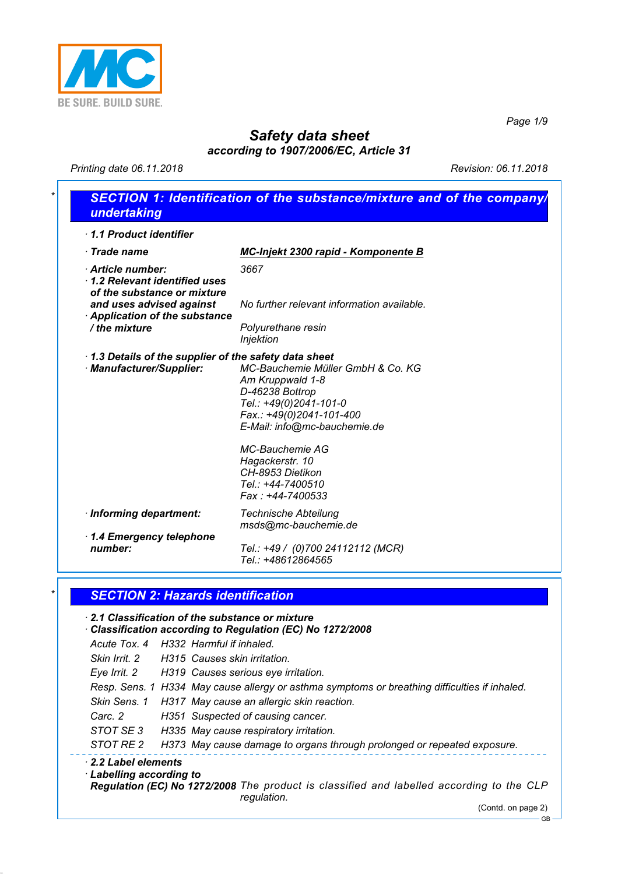

*Page 1/9*

# *Safety data sheet*

*according to 1907/2006/EC, Article 31*

*Printing date 06.11.2018 Revision: 06.11.2018*

| 1.1 Product identifier                                                           |                                                                                                                                                                                   |
|----------------------------------------------------------------------------------|-----------------------------------------------------------------------------------------------------------------------------------------------------------------------------------|
| $\cdot$ Trade name                                                               | MC-Injekt 2300 rapid - Komponente B                                                                                                                                               |
| Article number:<br>1.2 Relevant identified uses<br>of the substance or mixture   | 3667                                                                                                                                                                              |
| and uses advised against<br>Application of the substance                         | No further relevant information available.                                                                                                                                        |
| / the mixture                                                                    | Polyurethane resin<br>Injektion                                                                                                                                                   |
| 1.3 Details of the supplier of the safety data sheet<br>· Manufacturer/Supplier: | MC-Bauchemie Müller GmbH & Co. KG<br>Am Kruppwald 1-8<br>D-46238 Bottrop<br>Tel.: +49(0)2041-101-0<br>Fax.: +49(0)2041-101-400<br>E-Mail: info@mc-bauchemie.de<br>MC-Bauchemie AG |
|                                                                                  | Hagackerstr. 10<br>CH-8953 Dietikon<br>Tel.: +44-7400510<br>Fax: +44-7400533                                                                                                      |
| · Informing department:                                                          | <b>Technische Abteilung</b><br>msds@mc-bauchemie.de                                                                                                                               |
| 1.4 Emergency telephone                                                          |                                                                                                                                                                                   |
| number:                                                                          | Tel.: +49 / (0)700 24112112 (MCR)<br>Tel.: +48612864565                                                                                                                           |

### *\* SECTION 2: Hazards identification*

#### *· 2.1 Classification of the substance or mixture*

*· Classification according to Regulation (EC) No 1272/2008*

*Acute Tox. 4 H332 Harmful if inhaled. Skin Irrit. 2 H315 Causes skin irritation.*

*Eye Irrit. 2 H319 Causes serious eye irritation.*

*Resp. Sens. 1 H334 May cause allergy or asthma symptoms or breathing difficulties if inhaled.*

- *Skin Sens. 1 H317 May cause an allergic skin reaction.*
- *Carc. 2 H351 Suspected of causing cancer.*
- *STOT SE 3 H335 May cause respiratory irritation.*

*STOT RE 2 H373 May cause damage to organs through prolonged or repeated exposure.*

#### *· 2.2 Label elements*

*· Labelling according to*

*Regulation (EC) No 1272/2008 The product is classified and labelled according to the CLP regulation.*

(Contd. on page 2)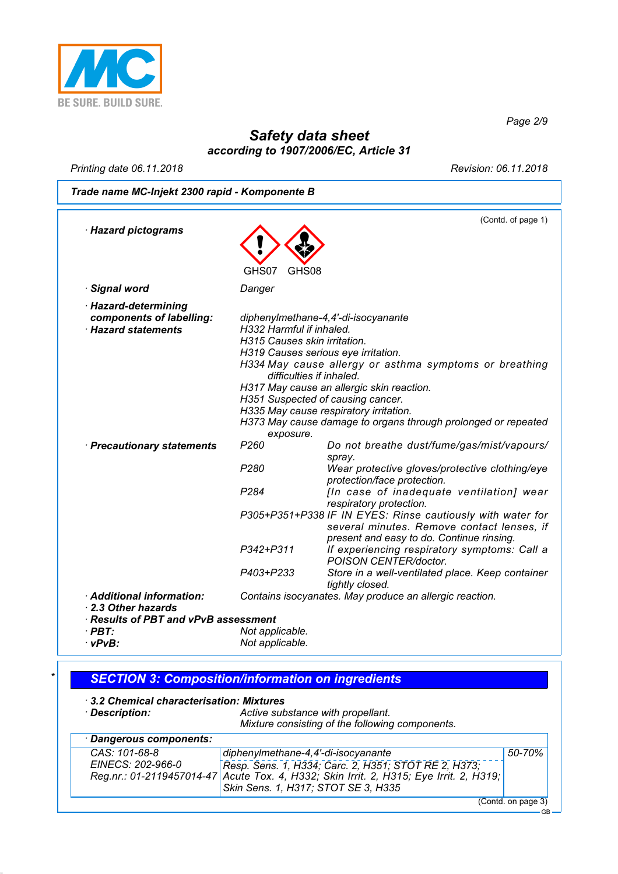

*Page 2/9*

# *Safety data sheet according to 1907/2006/EC, Article 31*

*Printing date 06.11.2018 Revision: 06.11.2018*

*Trade name MC-Injekt 2300 rapid - Komponente B*

|                                      |                              | (Contd. of page 1)                                                                            |
|--------------------------------------|------------------------------|-----------------------------------------------------------------------------------------------|
| · Hazard pictograms                  |                              |                                                                                               |
|                                      |                              |                                                                                               |
|                                      | GHS07<br>GHS08               |                                                                                               |
|                                      |                              |                                                                                               |
| · Signal word                        | Danger                       |                                                                                               |
| · Hazard-determining                 |                              |                                                                                               |
| components of labelling:             |                              | diphenylmethane-4,4'-di-isocyanante                                                           |
| <b>Hazard statements</b>             | H332 Harmful if inhaled.     |                                                                                               |
|                                      | H315 Causes skin irritation. |                                                                                               |
|                                      |                              | H319 Causes serious eye irritation.<br>H334 May cause allergy or asthma symptoms or breathing |
|                                      | difficulties if inhaled.     |                                                                                               |
|                                      |                              | H317 May cause an allergic skin reaction.                                                     |
|                                      |                              | H351 Suspected of causing cancer.                                                             |
|                                      |                              | H335 May cause respiratory irritation.                                                        |
|                                      |                              | H373 May cause damage to organs through prolonged or repeated                                 |
|                                      | exposure.                    |                                                                                               |
| · Precautionary statements           | P <sub>260</sub>             | Do not breathe dust/fume/gas/mist/vapours/                                                    |
|                                      | P <sub>280</sub>             | spray.                                                                                        |
|                                      |                              | Wear protective gloves/protective clothing/eye<br>protection/face protection.                 |
|                                      | P <sub>284</sub>             | [In case of inadequate ventilation] wear                                                      |
|                                      |                              | respiratory protection.                                                                       |
|                                      |                              | P305+P351+P338 IF IN EYES: Rinse cautiously with water for                                    |
|                                      |                              | several minutes. Remove contact lenses, if                                                    |
|                                      |                              | present and easy to do. Continue rinsing.                                                     |
|                                      | P342+P311                    | If experiencing respiratory symptoms: Call a                                                  |
|                                      | P403+P233                    | POISON CENTER/doctor.<br>Store in a well-ventilated place. Keep container                     |
|                                      |                              | tightly closed.                                                                               |
| · Additional information:            |                              | Contains isocyanates. May produce an allergic reaction.                                       |
| 2.3 Other hazards                    |                              |                                                                                               |
| · Results of PBT and vPvB assessment |                              |                                                                                               |
| $\cdot$ PBT:                         | Not applicable.              |                                                                                               |
| $\cdot$ vPvB:                        | Not applicable.              |                                                                                               |

# *\* SECTION 3: Composition/information on ingredients*

# *· 3.2 Chemical characterisation: Mixtures*

*· Description: Active substance with propellant. Mixture consisting of the following components.*

| · Dangerous components:            |                                                                                                                                                                                                                              |                    |
|------------------------------------|------------------------------------------------------------------------------------------------------------------------------------------------------------------------------------------------------------------------------|--------------------|
| CAS: 101-68-8<br>EINECS: 202-966-0 | diphenylmethane-4,4'-di-isocyanante<br>Resp. Sens. 1, H334; Carc. 2, H351; STOT RE 2, H373;<br>Reg.nr.: 01-2119457014-47 Acute Tox. 4, H332; Skin Irrit. 2, H315; Eye Irrit. 2, H319;<br>Skin Sens. 1, H317; STOT SE 3, H335 | 50-70%             |
|                                    |                                                                                                                                                                                                                              | (Contd. on page 3) |

GB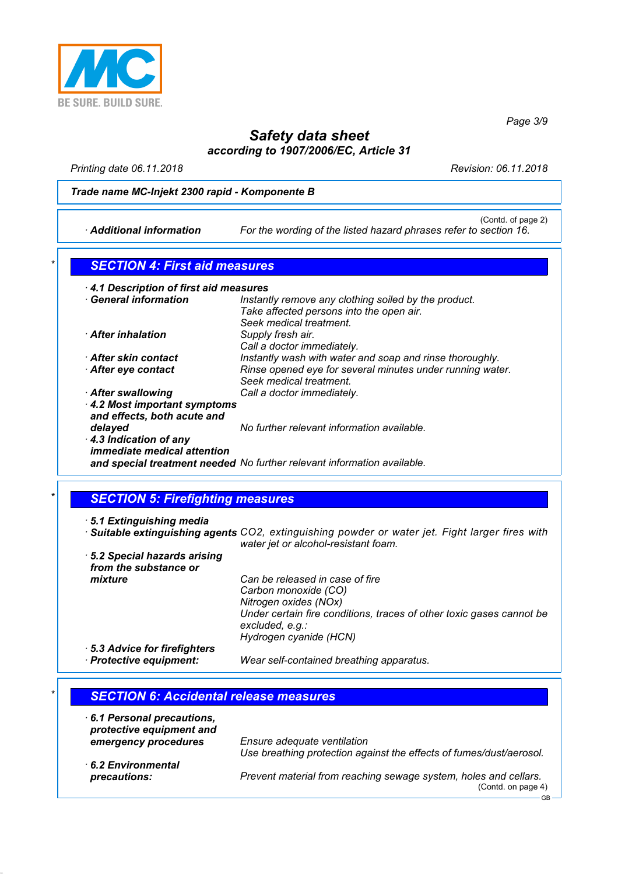

*Page 3/9*

# *Safety data sheet according to 1907/2006/EC, Article 31*

*Printing date 06.11.2018 Revision: 06.11.2018*

#### *Trade name MC-Injekt 2300 rapid - Komponente B*

(Contd. of page 2)

|  | Additional information |
|--|------------------------|
|--|------------------------|

For the wording of the listed hazard phrases refer to section 16.

### *\* SECTION 4: First aid measures*

| <b>General information</b>         | Instantly remove any clothing soiled by the product.                    |
|------------------------------------|-------------------------------------------------------------------------|
|                                    | Take affected persons into the open air.                                |
|                                    | Seek medical treatment.                                                 |
| <b>After inhalation</b>            |                                                                         |
|                                    | Supply fresh air.                                                       |
|                                    | Call a doctor immediately.                                              |
| · After skin contact               | Instantly wash with water and soap and rinse thoroughly.                |
| $\cdot$ After eye contact          | Rinse opened eye for several minutes under running water.               |
|                                    | Seek medical treatment.                                                 |
| After swallowing                   | Call a doctor immediately.                                              |
| 4.2 Most important symptoms        |                                                                         |
| and effects, both acute and        |                                                                         |
| delayed                            | No further relevant information available.                              |
|                                    |                                                                         |
| 4.3 Indication of any              |                                                                         |
| <i>immediate medical attention</i> |                                                                         |
|                                    | and special treatment needed No further relevant information available. |

## *\* SECTION 5: Firefighting measures*

*· 5.1 Extinguishing media · Suitable extinguishing agents CO2, extinguishing powder or water jet. Fight larger fires with water jet or alcohol-resistant foam.*

*· 5.2 Special hazards arising from the substance or mixture Can be released in case of fire Carbon monoxide (CO) Nitrogen oxides (NOx) Under certain fire conditions, traces of other toxic gases cannot be excluded, e.g.: Hydrogen cyanide (HCN) · 5.3 Advice for firefighters*

*· Protective equipment: Wear self-contained breathing apparatus.*

# *\* SECTION 6: Accidental release measures*

*· 6.1 Personal precautions,*

| . b.1 Personal precautions.<br>protective equipment and |                                                                                                    |
|---------------------------------------------------------|----------------------------------------------------------------------------------------------------|
| emergency procedures                                    | Ensure adequate ventilation<br>Use breathing protection against the effects of fumes/dust/aerosol. |
| 6.2 Environmental                                       |                                                                                                    |
| precautions:                                            | Prevent material from reaching sewage system, holes and cellars.<br>(Contd. on page 4)             |
|                                                         | GB                                                                                                 |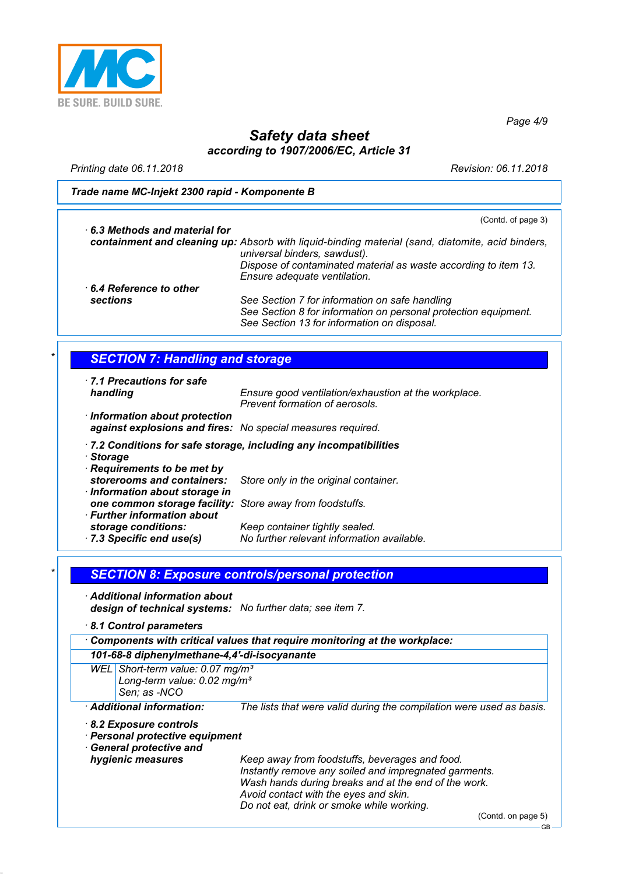

*Page 4/9*

# *Safety data sheet according to 1907/2006/EC, Article 31*

*Printing date 06.11.2018 Revision: 06.11.2018*

*Trade name MC-Injekt 2300 rapid - Komponente B*

| $\cdot$ 6.3 Methods and material for                        | (Contd. of page 3)                                                                                                                                               |
|-------------------------------------------------------------|------------------------------------------------------------------------------------------------------------------------------------------------------------------|
|                                                             | containment and cleaning up: Absorb with liquid-binding material (sand, diatomite, acid binders,<br>universal binders, sawdust).                                 |
|                                                             | Dispose of contaminated material as waste according to item 13.<br>Ensure adequate ventilation.                                                                  |
| $\cdot$ 6.4 Reference to other                              |                                                                                                                                                                  |
| sections                                                    | See Section 7 for information on safe handling<br>See Section 8 for information on personal protection equipment.<br>See Section 13 for information on disposal. |
| <b>SECTION 7: Handling and storage</b>                      |                                                                                                                                                                  |
|                                                             |                                                                                                                                                                  |
| <b>7.1 Precautions for safe</b>                             |                                                                                                                                                                  |
| handling                                                    | Ensure good ventilation/exhaustion at the workplace.<br>Prevent formation of aerosols.                                                                           |
| · Information about protection                              |                                                                                                                                                                  |
| against explosions and fires: No special measures required. |                                                                                                                                                                  |
|                                                             | .7.2 Conditions for safe storage, including any incompatibilities                                                                                                |
| · Storage                                                   |                                                                                                                                                                  |
| Requirements to be met by                                   |                                                                                                                                                                  |
| storerooms and containers:                                  | Store only in the original container.                                                                                                                            |
| · Information about storage in                              |                                                                                                                                                                  |
| one common storage facility:<br>· Further information about | Store away from foodstuffs.                                                                                                                                      |
| storage conditions:                                         | Keep container tightly sealed.                                                                                                                                   |
| 7.3 Specific end use(s)                                     | No further relevant information available.                                                                                                                       |
|                                                             |                                                                                                                                                                  |
|                                                             |                                                                                                                                                                  |
|                                                             | <b>SECTION 8: Exposure controls/personal protection</b>                                                                                                          |
| $\cdot$ Additional information about                        |                                                                                                                                                                  |

*· 8.1 Control parameters*

*· Components with critical values that require monitoring at the workplace:*

#### *101-68-8 diphenylmethane-4,4'-di-isocyanante*

*WEL Short-term value: 0.07 mg/m³ Long-term value: 0.02 mg/m³ Sen; as -NCO*

*· Additional information: The lists that were valid during the compilation were used as basis.*

#### *· 8.2 Exposure controls*

- *· Personal protective equipment*
- *· General protective and*

*hygienic measures Keep away from foodstuffs, beverages and food. Instantly remove any soiled and impregnated garments. Wash hands during breaks and at the end of the work. Avoid contact with the eyes and skin. Do not eat, drink or smoke while working.*

(Contd. on page 5)

GB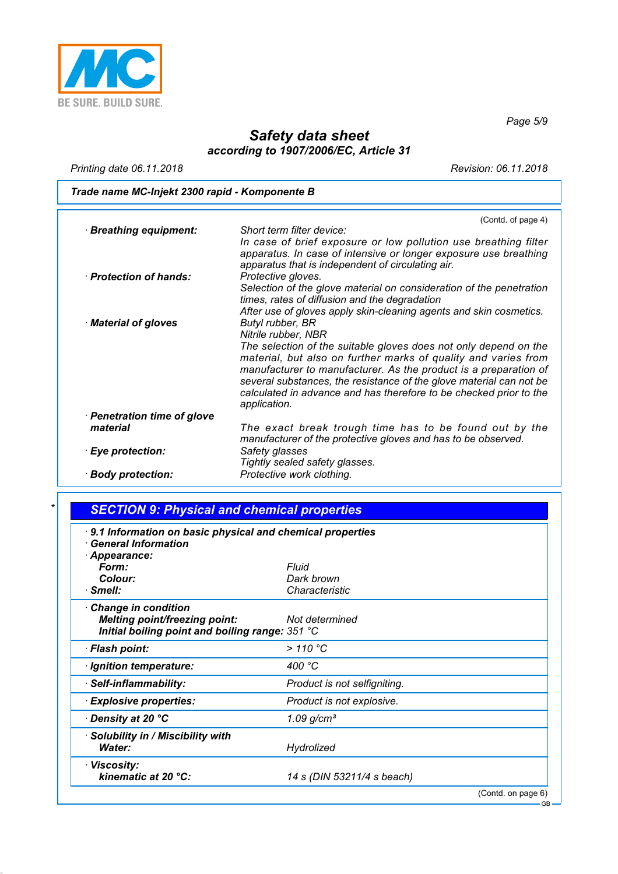

*Page 5/9*

GB

## *Safety data sheet according to 1907/2006/EC, Article 31*

*Printing date 06.11.2018 Revision: 06.11.2018*

*Trade name MC-Injekt 2300 rapid - Komponente B*

|                             | (Contd. of page 4)                                                                                                                                                                                                                                                                                                                                                  |
|-----------------------------|---------------------------------------------------------------------------------------------------------------------------------------------------------------------------------------------------------------------------------------------------------------------------------------------------------------------------------------------------------------------|
| · Breathing equipment:      | Short term filter device:                                                                                                                                                                                                                                                                                                                                           |
| · Protection of hands:      | In case of brief exposure or low pollution use breathing filter<br>apparatus. In case of intensive or longer exposure use breathing<br>apparatus that is independent of circulating air.<br>Protective gloves.                                                                                                                                                      |
|                             | Selection of the glove material on consideration of the penetration<br>times, rates of diffusion and the degradation                                                                                                                                                                                                                                                |
|                             | After use of gloves apply skin-cleaning agents and skin cosmetics.                                                                                                                                                                                                                                                                                                  |
| Material of gloves          | Butyl rubber, BR                                                                                                                                                                                                                                                                                                                                                    |
|                             | Nitrile rubber, NBR                                                                                                                                                                                                                                                                                                                                                 |
|                             | The selection of the suitable gloves does not only depend on the<br>material, but also on further marks of quality and varies from<br>manufacturer to manufacturer. As the product is a preparation of<br>several substances, the resistance of the glove material can not be<br>calculated in advance and has therefore to be checked prior to the<br>application. |
| · Penetration time of glove |                                                                                                                                                                                                                                                                                                                                                                     |
| material                    | The exact break trough time has to be found out by the<br>manufacturer of the protective gloves and has to be observed.                                                                                                                                                                                                                                             |
| · Eye protection:           | Safety glasses<br>Tightly sealed safety glasses.                                                                                                                                                                                                                                                                                                                    |
| · Body protection:          | Protective work clothing.                                                                                                                                                                                                                                                                                                                                           |
|                             |                                                                                                                                                                                                                                                                                                                                                                     |

## *\* SECTION 9: Physical and chemical properties*

| 9.1 Information on basic physical and chemical properties<br><b>General Information</b> |                              |                    |
|-----------------------------------------------------------------------------------------|------------------------------|--------------------|
| · Appearance:                                                                           |                              |                    |
| Form:                                                                                   | Fluid                        |                    |
| Colour:                                                                                 | Dark brown                   |                    |
| $\cdot$ Smell:                                                                          | Characteristic               |                    |
| Change in condition                                                                     |                              |                    |
| <b>Melting point/freezing point:</b>                                                    | Not determined               |                    |
| Initial boiling point and boiling range: 351 °C                                         |                              |                    |
| · Flash point:                                                                          | > 110 °C                     |                    |
| · Ignition temperature:                                                                 | 400 °C                       |                    |
| · Self-inflammability:                                                                  | Product is not selfigniting. |                    |
| <b>Explosive properties:</b>                                                            | Product is not explosive.    |                    |
| · Density at 20 °C                                                                      | 1.09 $g/cm^{3}$              |                    |
| · Solubility in / Miscibility with                                                      |                              |                    |
| Water:                                                                                  | Hydrolized                   |                    |
| · Viscosity:                                                                            |                              |                    |
| kinematic at 20 °C:                                                                     | 14 s (DIN 53211/4 s beach)   |                    |
|                                                                                         |                              | (Contd. on page 6) |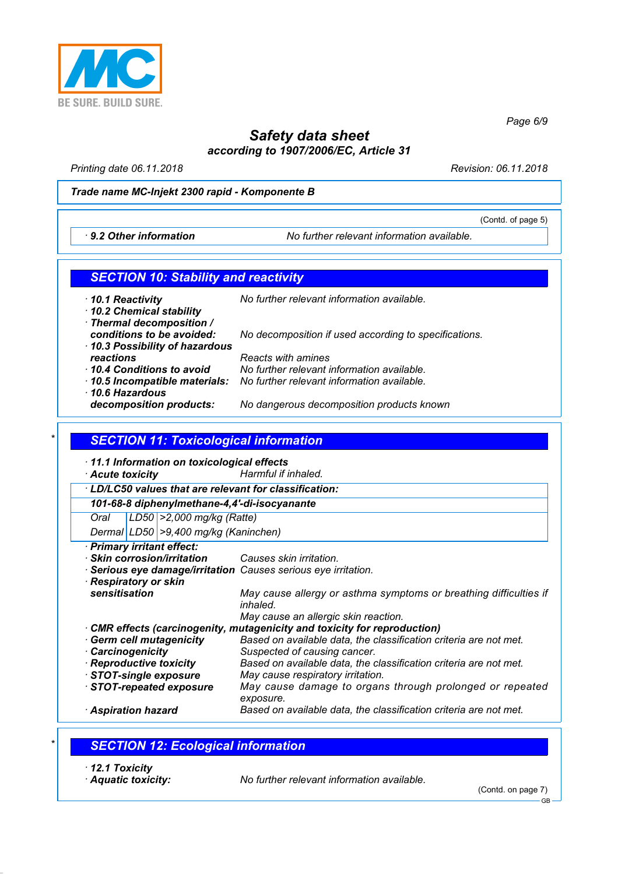

*Safety data sheet according to 1907/2006/EC, Article 31*

*Printing date 06.11.2018 Revision: 06.11.2018*

(Contd. of page 5)

*Page 6/9*

#### *Trade name MC-Injekt 2300 rapid - Komponente B*

*· 9.2 Other information No further relevant information available.*

#### *SECTION 10: Stability and reactivity*

*· 10.1 Reactivity No further relevant information available. · 10.2 Chemical stability · Thermal decomposition / conditions to be avoided: No decomposition if used according to specifications. · 10.3 Possibility of hazardous reactions Reacts with amines · 10.4 Conditions to avoid No further relevant information available. · 10.5 Incompatible materials: No further relevant information available. · 10.6 Hazardous decomposition products: No dangerous decomposition products known*

## *\* SECTION 11: Toxicological information*

*· 11.1 Information on toxicological effects*

*· Acute toxicity Harmful if inhaled.*

*· LD/LC50 values that are relevant for classification:*

*101-68-8 diphenylmethane-4,4'-di-isocyanante*

*Oral LD50 >2,000 mg/kg (Ratte)*

*Dermal LD50 >9,400 mg/kg (Kaninchen)*

*· Primary irritant effect:*

*· Skin corrosion/irritation Causes skin irritation.*

- *· Serious eye damage/irritation Causes serious eye irritation.*
- *· Respiratory or skin sensitisation May cause allergy or asthma symptoms or breathing difficulties if inhaled. May cause an allergic skin reaction. · CMR effects (carcinogenity, mutagenicity and toxicity for reproduction)*

*· Germ cell mutagenicity Based on available data, the classification criteria are not met.*

- *· Carcinogenicity Suspected of causing cancer. · Reproductive toxicity Based on available data, the classification criteria are not met. May cause respiratory irritation. · STOT-repeated exposure May cause damage to organs through prolonged or repeated exposure.*
- *· Aspiration hazard Based on available data, the classification criteria are not met.*

#### *\* SECTION 12: Ecological information*

- *· 12.1 Toxicity*
- 

*· Aquatic toxicity: No further relevant information available.*

(Contd. on page 7)

GB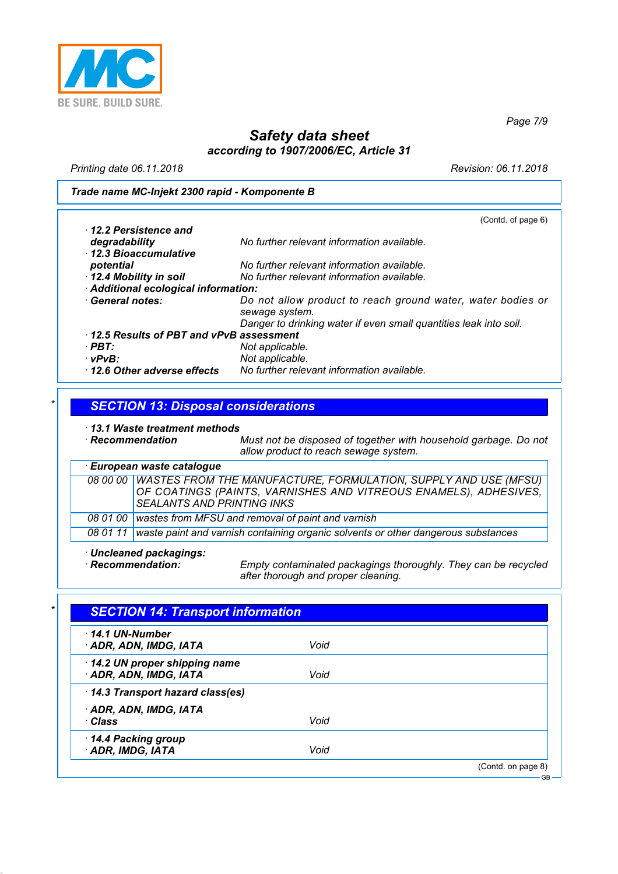

*Page 7/9*

GB

# *Safety data sheet according to 1907/2006/EC, Article 31*

*Printing date 06.11.2018 Revision: 06.11.2018*

#### *Trade name MC-Injekt 2300 rapid - Komponente B*

|                                         | (Contd. of page 6)                                                |
|-----------------------------------------|-------------------------------------------------------------------|
| $\cdot$ 12.2 Persistence and            |                                                                   |
| degradability                           | No further relevant information available.                        |
| 12.3 Bioaccumulative                    |                                                                   |
| potential                               | No further relevant information available.                        |
| 12.4 Mobility in soil                   | No further relevant information available.                        |
| Additional ecological information:      |                                                                   |
| · General notes:                        | Do not allow product to reach ground water, water bodies or       |
|                                         | sewage system.                                                    |
|                                         | Danger to drinking water if even small quantities leak into soil. |
| 12.5 Results of PBT and vPvB assessment |                                                                   |
| · PBT:                                  | Not applicable.                                                   |
| $\cdot$ vPvB:                           | Not applicable.                                                   |
| 12.6 Other adverse effects              | No further relevant information available.                        |
|                                         |                                                                   |

## *\* SECTION 13: Disposal considerations*

|                        | 13.1 Waste treatment methods<br>Must not be disposed of together with household garbage. Do not<br>$\cdot$ Recommendation<br>allow product to reach sewage system.                |  |
|------------------------|-----------------------------------------------------------------------------------------------------------------------------------------------------------------------------------|--|
|                        | · European waste catalogue                                                                                                                                                        |  |
|                        | 08 00 00 WASTES FROM THE MANUFACTURE, FORMULATION, SUPPLY AND USE (MFSU)<br>OF COATINGS (PAINTS, VARNISHES AND VITREOUS ENAMELS), ADHESIVES,<br><b>SEALANTS AND PRINTING INKS</b> |  |
| <i><b>08 01 00</b></i> | wastes from MFSU and removal of paint and varnish                                                                                                                                 |  |
| 08 01 11               | waste paint and varnish containing organic solvents or other dangerous substances                                                                                                 |  |

*· Uncleaned packagings:*

*Empty contaminated packagings thoroughly. They can be recycled after thorough and proper cleaning.*

| $\cdot$ 14.1 UN-Number          |      |  |
|---------------------------------|------|--|
| · ADR, ADN, IMDG, IATA          | Void |  |
| 14.2 UN proper shipping name    |      |  |
| · ADR, ADN, IMDG, IATA          | Void |  |
| 14.3 Transport hazard class(es) |      |  |
| · ADR, ADN, IMDG, IATA          |      |  |
| ∙ Class                         | Void |  |
| 14.4 Packing group              |      |  |
| ADR, IMDG, IATA                 | Void |  |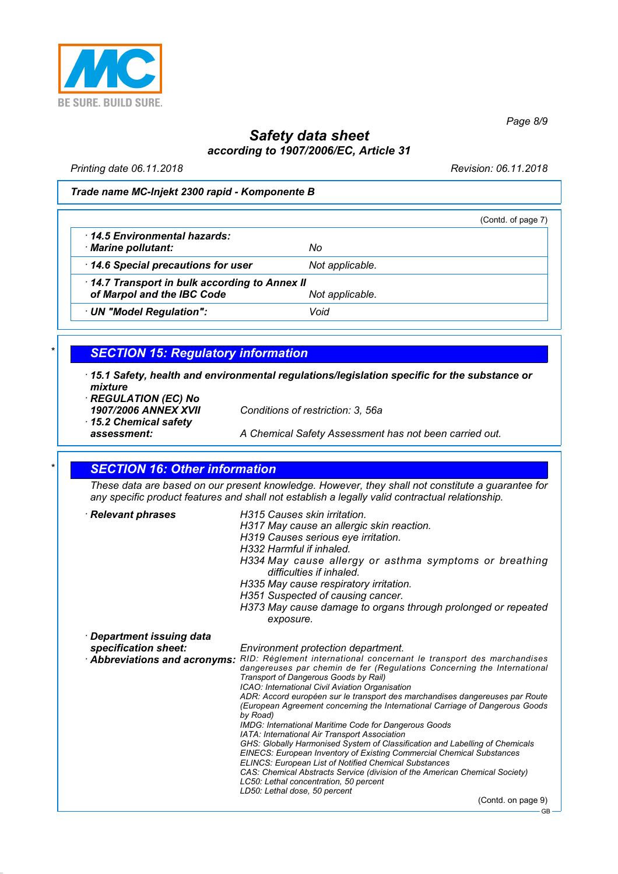

*Safety data sheet*

*according to 1907/2006/EC, Article 31*

*Printing date 06.11.2018 Revision: 06.11.2018*

*Page 8/9*

#### *Trade name MC-Injekt 2300 rapid - Komponente B*

|                                                                            |                 | (Contd. of page 7) |
|----------------------------------------------------------------------------|-----------------|--------------------|
| 14.5 Environmental hazards:<br>· Marine pollutant:                         | No              |                    |
| 14.6 Special precautions for user                                          | Not applicable. |                    |
| 14.7 Transport in bulk according to Annex II<br>of Marpol and the IBC Code | Not applicable. |                    |
| UN "Model Regulation":                                                     | Void            |                    |

## *\* SECTION 15: Regulatory information*

*· 15.1 Safety, health and environmental regulations/legislation specific for the substance or mixture*

*· REGULATION (EC) No*

*· 15.2 Chemical safety*

*1907/2006 ANNEX XVII Conditions of restriction: 3, 56a*

*assessment: A Chemical Safety Assessment has not been carried out.*

#### *\* SECTION 16: Other information*

*These data are based on our present knowledge. However, they shall not constitute a guarantee for any specific product features and shall not establish a legally valid contractual relationship.*

| · Relevant phrases                                                               | H315 Causes skin irritation.<br>H317 May cause an allergic skin reaction.<br>H319 Causes serious eye irritation.<br>H332 Harmful if inhaled.<br>H334 May cause allergy or asthma symptoms or breathing<br>difficulties if inhaled.<br>H335 May cause respiratory irritation.                                                                                       |
|----------------------------------------------------------------------------------|--------------------------------------------------------------------------------------------------------------------------------------------------------------------------------------------------------------------------------------------------------------------------------------------------------------------------------------------------------------------|
|                                                                                  | H351 Suspected of causing cancer.<br>H373 May cause damage to organs through prolonged or repeated<br>exposure.                                                                                                                                                                                                                                                    |
| · Department issuing data<br>specification sheet:<br>Abbreviations and acronyms: | Environment protection department.<br>RID: Règlement international concernant le transport des marchandises<br>dangereuses par chemin de fer (Regulations Concerning the International<br>Transport of Dangerous Goods by Rail)<br>ICAO: International Civil Aviation Organisation                                                                                 |
|                                                                                  | ADR: Accord européen sur le transport des marchandises dangereuses par Route<br>(European Agreement concerning the International Carriage of Dangerous Goods<br>by Road)<br>IMDG: International Maritime Code for Dangerous Goods<br>IATA: International Air Transport Association<br>GHS: Globally Harmonised System of Classification and Labelling of Chemicals |
|                                                                                  | <b>EINECS: European Inventory of Existing Commercial Chemical Substances</b><br><b>ELINCS: European List of Notified Chemical Substances</b><br>CAS: Chemical Abstracts Service (division of the American Chemical Society)<br>LC50: Lethal concentration, 50 percent<br>LD50: Lethal dose, 50 percent                                                             |
|                                                                                  | (Contd. on page 9)                                                                                                                                                                                                                                                                                                                                                 |

GB